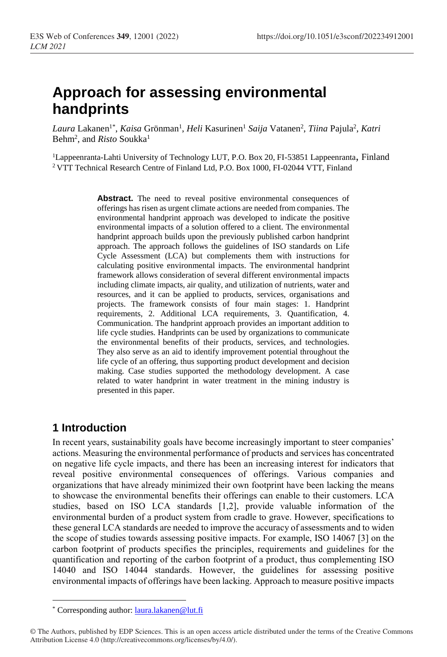# **Approach for assessing environmental handprints**

Laura Lakanen<sup>1\*</sup>, *Kaisa* Grönman<sup>1</sup>, *Heli* Kasurinen<sup>1</sup> Saija Vatanen<sup>2</sup>, *Tiina* Pajula<sup>2</sup>, *Katri* Behm<sup>2</sup>, and *Risto* Soukka<sup>1</sup>

<sup>1</sup>Lappeenranta-Lahti University of Technology LUT, P.O. Box 20, FI-53851 Lappeenranta, Finland <sup>2</sup> VTT Technical Research Centre of Finland Ltd, P.O. Box 1000, FI-02044 VTT, Finland

> Abstract. The need to reveal positive environmental consequences of offerings has risen as urgent climate actions are needed from companies. The environmental handprint approach was developed to indicate the positive environmental impacts of a solution offered to a client. The environmental handprint approach builds upon the previously published carbon handprint approach. The approach follows the guidelines of ISO standards on Life Cycle Assessment (LCA) but complements them with instructions for calculating positive environmental impacts. The environmental handprint framework allows consideration of several different environmental impacts including climate impacts, air quality, and utilization of nutrients, water and resources, and it can be applied to products, services, organisations and projects. The framework consists of four main stages: 1. Handprint requirements, 2. Additional LCA requirements, 3. Quantification, 4. Communication. The handprint approach provides an important addition to life cycle studies. Handprints can be used by organizations to communicate the environmental benefits of their products, services, and technologies. They also serve as an aid to identify improvement potential throughout the life cycle of an offering, thus supporting product development and decision making. Case studies supported the methodology development. A case related to water handprint in water treatment in the mining industry is presented in this paper.

# **1 Introduction**

 $\overline{a}$ 

In recent years, sustainability goals have become increasingly important to steer companies' actions. Measuring the environmental performance of products and services has concentrated on negative life cycle impacts, and there has been an increasing interest for indicators that reveal positive environmental consequences of offerings. Various companies and organizations that have already minimized their own footprint have been lacking the means to showcase the environmental benefits their offerings can enable to their customers. LCA studies, based on ISO LCA standards [1,2], provide valuable information of the environmental burden of a product system from cradle to grave. However, specifications to these general LCA standards are needed to improve the accuracy of assessments and to widen the scope of studies towards assessing positive impacts. For example, ISO 14067 [3] on the carbon footprint of products specifies the principles, requirements and guidelines for the quantification and reporting of the carbon footprint of a product, thus complementing ISO 14040 and ISO 14044 standards. However, the guidelines for assessing positive environmental impacts of offerings have been lacking. Approach to measure positive impacts

<sup>\*</sup> Corresponding author[: laura.lakanen@lut.fi](mailto:laura.lakanen@lut.fi)

<sup>©</sup> The Authors, published by EDP Sciences. This is an open access article distributed under the terms of the Creative Commons Attribution License 4.0 (http://creativecommons.org/licenses/by/4.0/).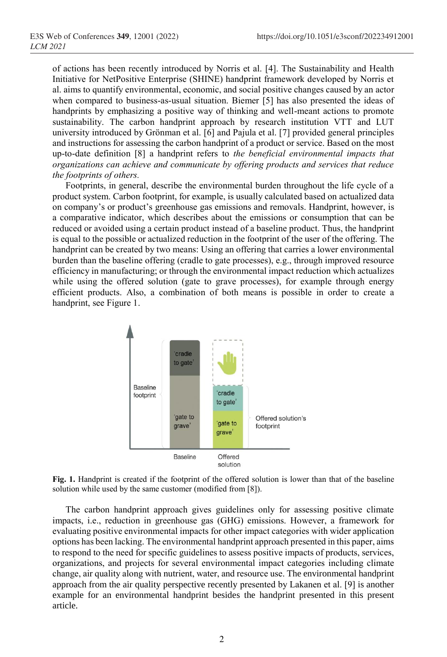of actions has been recently introduced by Norris et al. [4]. The Sustainability and Health Initiative for NetPositive Enterprise (SHINE) handprint framework developed by Norris et al. aims to quantify environmental, economic, and social positive changes caused by an actor when compared to business-as-usual situation. Biemer [5] has also presented the ideas of handprints by emphasizing a positive way of thinking and well-meant actions to promote sustainability. The carbon handprint approach by research institution VTT and LUT university introduced by Grönman et al. [6] and Pajula et al. [7] provided general principles and instructions for assessing the carbon handprint of a product or service. Based on the most up-to-date definition [8] a handprint refers to *the beneficial environmental impacts that organizations can achieve and communicate by offering products and services that reduce the footprints of others.*

Footprints, in general, describe the environmental burden throughout the life cycle of a product system. Carbon footprint, for example, is usually calculated based on actualized data on company's or product's greenhouse gas emissions and removals. Handprint, however, is a comparative indicator, which describes about the emissions or consumption that can be reduced or avoided using a certain product instead of a baseline product. Thus, the handprint is equal to the possible or actualized reduction in the footprint of the user of the offering. The handprint can be created by two means: Using an offering that carries a lower environmental burden than the baseline offering (cradle to gate processes), e.g., through improved resource efficiency in manufacturing; or through the environmental impact reduction which actualizes while using the offered solution (gate to grave processes), for example through energy efficient products. Also, a combination of both means is possible in order to create a handprint, see Figure 1.



**Fig. 1.** Handprint is created if the footprint of the offered solution is lower than that of the baseline solution while used by the same customer (modified from [8]).

The carbon handprint approach gives guidelines only for assessing positive climate impacts, i.e., reduction in greenhouse gas (GHG) emissions. However, a framework for evaluating positive environmental impacts for other impact categories with wider application options has been lacking. The environmental handprint approach presented in this paper, aims to respond to the need for specific guidelines to assess positive impacts of products, services, organizations, and projects for several environmental impact categories including climate change, air quality along with nutrient, water, and resource use. The environmental handprint approach from the air quality perspective recently presented by Lakanen et al. [9] is another example for an environmental handprint besides the handprint presented in this present article.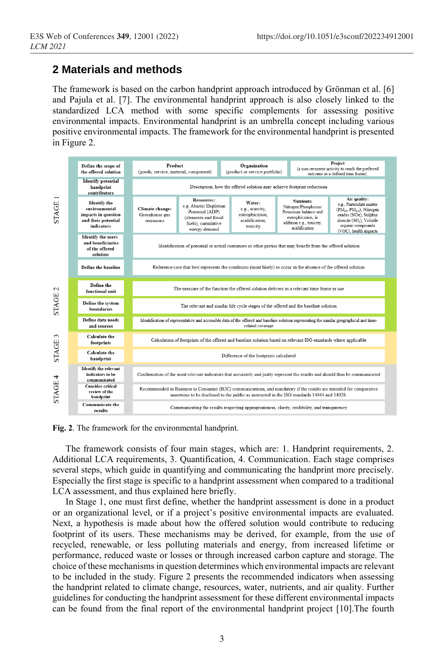### **2 Materials and methods**

The framework is based on the carbon handprint approach introduced by Grönman et al. [6] and Pajula et al. [7]. The environmental handprint approach is also closely linked to the standardized LCA method with some specific complements for assessing positive environmental impacts. Environmental handprint is an umbrella concept including various positive environmental impacts. The framework for the environmental handprint is presented in Figure 2.



**Fig. 2**. The framework for the environmental handprint.

The framework consists of four main stages, which are: 1. Handprint requirements, 2. Additional LCA requirements, 3. Quantification, 4. Communication. Each stage comprises several steps, which guide in quantifying and communicating the handprint more precisely. Especially the first stage is specific to a handprint assessment when compared to a traditional LCA assessment, and thus explained here briefly.

In Stage 1, one must first define, whether the handprint assessment is done in a product or an organizational level, or if a project's positive environmental impacts are evaluated. Next, a hypothesis is made about how the offered solution would contribute to reducing footprint of its users. These mechanisms may be derived, for example, from the use of recycled, renewable, or less polluting materials and energy, from increased lifetime or performance, reduced waste or losses or through increased carbon capture and storage. The choice of these mechanisms in question determines which environmental impacts are relevant to be included in the study. Figure 2 presents the recommended indicators when assessing the handprint related to climate change, resources, water, nutrients, and air quality. Further guidelines for conducting the handprint assessment for these different environmental impacts can be found from the final report of the environmental handprint project [10].The fourth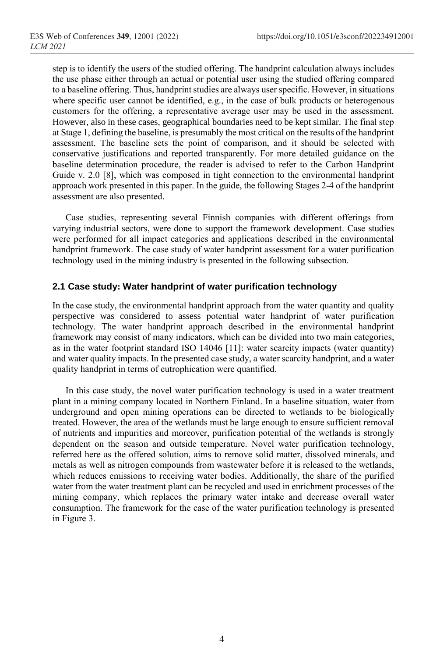step is to identify the users of the studied offering. The handprint calculation always includes the use phase either through an actual or potential user using the studied offering compared to a baseline offering. Thus, handprint studies are always user specific. However, in situations where specific user cannot be identified, e.g., in the case of bulk products or heterogenous customers for the offering, a representative average user may be used in the assessment. However, also in these cases, geographical boundaries need to be kept similar. The final step at Stage 1, defining the baseline, is presumably the most critical on the results of the handprint assessment. The baseline sets the point of comparison, and it should be selected with conservative justifications and reported transparently. For more detailed guidance on the baseline determination procedure, the reader is advised to refer to the Carbon Handprint Guide v. 2.0 [8], which was composed in tight connection to the environmental handprint approach work presented in this paper. In the guide, the following Stages 2-4 of the handprint assessment are also presented.

Case studies, representing several Finnish companies with different offerings from varying industrial sectors, were done to support the framework development. Case studies were performed for all impact categories and applications described in the environmental handprint framework. The case study of water handprint assessment for a water purification technology used in the mining industry is presented in the following subsection.

#### **2.1 Case study: Water handprint of water purification technology**

In the case study, the environmental handprint approach from the water quantity and quality perspective was considered to assess potential water handprint of water purification technology. The water handprint approach described in the environmental handprint framework may consist of many indicators, which can be divided into two main categories, as in the water footprint standard ISO 14046 [11]: water scarcity impacts (water quantity) and water quality impacts. In the presented case study, a water scarcity handprint, and a water quality handprint in terms of eutrophication were quantified.

In this case study, the novel water purification technology is used in a water treatment plant in a mining company located in Northern Finland. In a baseline situation, water from underground and open mining operations can be directed to wetlands to be biologically treated. However, the area of the wetlands must be large enough to ensure sufficient removal of nutrients and impurities and moreover, purification potential of the wetlands is strongly dependent on the season and outside temperature. Novel water purification technology, referred here as the offered solution, aims to remove solid matter, dissolved minerals, and metals as well as nitrogen compounds from wastewater before it is released to the wetlands, which reduces emissions to receiving water bodies. Additionally, the share of the purified water from the water treatment plant can be recycled and used in enrichment processes of the mining company, which replaces the primary water intake and decrease overall water consumption. The framework for the case of the water purification technology is presented in Figure 3.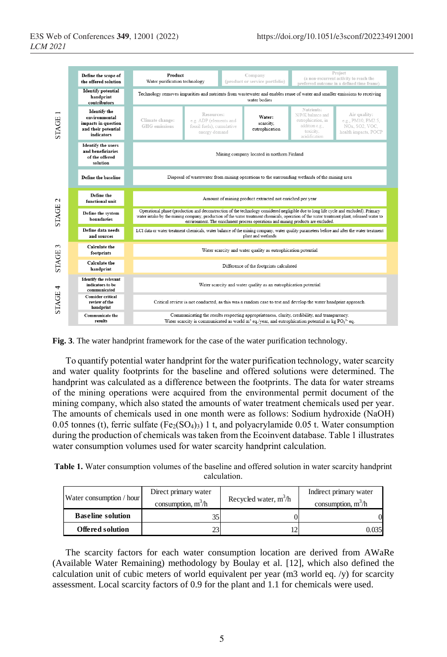

**Fig. 3**. The water handprint framework for the case of the water purification technology.

To quantify potential water handprint for the water purification technology, water scarcity and water quality footprints for the baseline and offered solutions were determined. The handprint was calculated as a difference between the footprints. The data for water streams of the mining operations were acquired from the environmental permit document of the mining company, which also stated the amounts of water treatment chemicals used per year. The amounts of chemicals used in one month were as follows: Sodium hydroxide (NaOH) 0.05 tonnes (t), ferric sulfate  $(Fe_2(SO_4))$  1 t, and polyacrylamide 0.05 t. Water consumption during the production of chemicals was taken from the Ecoinvent database. Table 1 illustrates water consumption volumes used for water scarcity handprint calculation.

**Table 1.** Water consumption volumes of the baseline and offered solution in water scarcity handprint calculation.

| Water consumption / hour | Direct primary water | Recycled water, $m^3/h$ | Indirect primary water |
|--------------------------|----------------------|-------------------------|------------------------|
|                          | consumption, $m^3/h$ |                         | consumption, $m^3/h$   |
| <b>Baseline solution</b> |                      |                         |                        |
| Offered solution         |                      |                         | 0.035                  |

The scarcity factors for each water consumption location are derived from AWaRe (Available Water Remaining) methodology by Boulay et al. [12], which also defined the calculation unit of cubic meters of world equivalent per year (m3 world eq. /y) for scarcity assessment. Local scarcity factors of 0.9 for the plant and 1.1 for chemicals were used.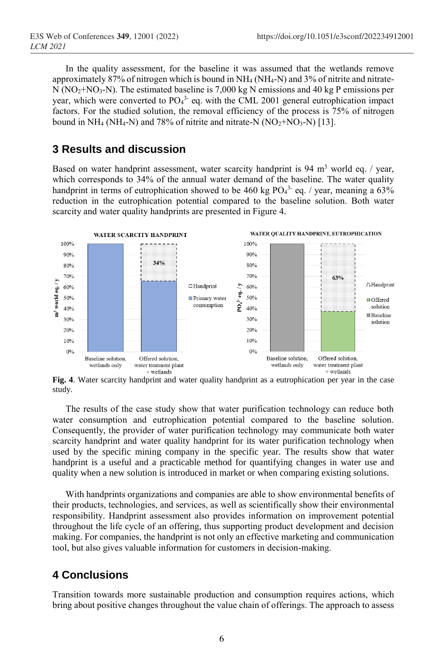In the quality assessment, for the baseline it was assumed that the wetlands remove approximately 87% of nitrogen which is bound in NH<sup>4</sup> (NH4-N) and 3% of nitrite and nitrate- $N (NO<sub>2</sub>+NO<sub>3</sub>-N)$ . The estimated baseline is 7,000 kg N emissions and 40 kg P emissions per year, which were converted to  $PO<sub>4</sub><sup>3</sup>$  eq. with the CML 2001 general eutrophication impact factors. For the studied solution, the removal efficiency of the process is 75% of nitrogen bound in NH<sub>4</sub> (NH<sub>4</sub>-N) and 78% of nitrite and nitrate-N (NO<sub>2</sub>+NO<sub>3</sub>-N) [13].

### **3 Results and discussion**

Based on water handprint assessment, water scarcity handprint is  $94 \text{ m}^3$  world eq. / year, which corresponds to 34% of the annual water demand of the baseline. The water quality handprint in terms of eutrophication showed to be 460 kg  $PO<sub>4</sub><sup>3</sup>$  eq. / year, meaning a 63% reduction in the eutrophication potential compared to the baseline solution. Both water scarcity and water quality handprints are presented in Figure 4.



**Fig. 4**. Water scarcity handprint and water quality handprint as a eutrophication per year in the case study.

The results of the case study show that water purification technology can reduce both water consumption and eutrophication potential compared to the baseline solution. Consequently, the provider of water purification technology may communicate both water scarcity handprint and water quality handprint for its water purification technology when used by the specific mining company in the specific year. The results show that water handprint is a useful and a practicable method for quantifying changes in water use and quality when a new solution is introduced in market or when comparing existing solutions.

With handprints organizations and companies are able to show environmental benefits of their products, technologies, and services, as well as scientifically show their environmental responsibility. Handprint assessment also provides information on improvement potential throughout the life cycle of an offering, thus supporting product development and decision making. For companies, the handprint is not only an effective marketing and communication tool, but also gives valuable information for customers in decision-making.

# **4 Conclusions**

Transition towards more sustainable production and consumption requires actions, which bring about positive changes throughout the value chain of offerings. The approach to assess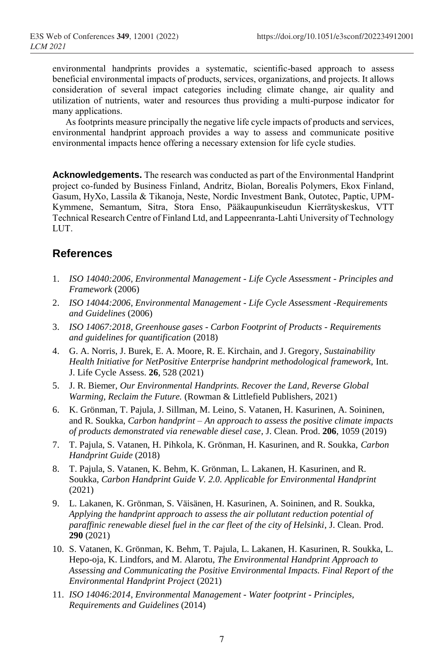environmental handprints provides a systematic, scientific-based approach to assess beneficial environmental impacts of products, services, organizations, and projects. It allows consideration of several impact categories including climate change, air quality and utilization of nutrients, water and resources thus providing a multi-purpose indicator for many applications.

As footprints measure principally the negative life cycle impacts of products and services, environmental handprint approach provides a way to assess and communicate positive environmental impacts hence offering a necessary extension for life cycle studies.

**Acknowledgements.** The research was conducted as part of the Environmental Handprint project co-funded by Business Finland, Andritz, Biolan, Borealis Polymers, Ekox Finland, Gasum, HyXo, Lassila & Tikanoja, Neste, Nordic Investment Bank, Outotec, Paptic, UPM-Kymmene, Semantum, Sitra, Stora Enso, Pääkaupunkiseudun Kierrätyskeskus, VTT Technical Research Centre of Finland Ltd, and Lappeenranta-Lahti University of Technology LUT.

### **References**

- 1. *ISO 14040:2006, Environmental Management - Life Cycle Assessment - Principles and Framework* (2006)
- 2. *ISO 14044:2006, Environmental Management - Life Cycle Assessment -Requirements and Guidelines* (2006)
- 3. *ISO 14067:2018, Greenhouse gases - Carbon Footprint of Products - Requirements and guidelines for quantification* (2018)
- 4. G. A. Norris, J. Burek, E. A. Moore, R. E. Kirchain, and J. Gregory, *Sustainability Health Initiative for NetPositive Enterprise handprint methodological framework,* Int. J. Life Cycle Assess. **26**, 528 (2021)
- 5. J. R. Biemer, *Our Environmental Handprints. Recover the Land, Reverse Global Warming, Reclaim the Future.* (Rowman & Littlefield Publishers, 2021)
- 6. K. Grönman, T. Pajula, J. Sillman, M. Leino, S. Vatanen, H. Kasurinen, A. Soininen, and R. Soukka, *Carbon handprint – An approach to assess the positive climate impacts of products demonstrated via renewable diesel case,* J. Clean. Prod. **206**, 1059 (2019)
- 7. T. Pajula, S. Vatanen, H. Pihkola, K. Grönman, H. Kasurinen, and R. Soukka, *Carbon Handprint Guide* (2018)
- 8. T. Pajula, S. Vatanen, K. Behm, K. Grönman, L. Lakanen, H. Kasurinen, and R. Soukka, *Carbon Handprint Guide V. 2.0. Applicable for Environmental Handprint* (2021)
- 9. L. Lakanen, K. Grönman, S. Väisänen, H. Kasurinen, A. Soininen, and R. Soukka, *Applying the handprint approach to assess the air pollutant reduction potential of paraffinic renewable diesel fuel in the car fleet of the city of Helsinki*, J. Clean. Prod. **290** (2021)
- 10. S. Vatanen, K. Grönman, K. Behm, T. Pajula, L. Lakanen, H. Kasurinen, R. Soukka, L. Hepo-oja, K. Lindfors, and M. Alarotu, *The Environmental Handprint Approach to Assessing and Communicating the Positive Environmental Impacts. Final Report of the Environmental Handprint Project* (2021)
- 11. *ISO 14046:2014*, *Environmental Management - Water footprint - Principles, Requirements and Guidelines* (2014)